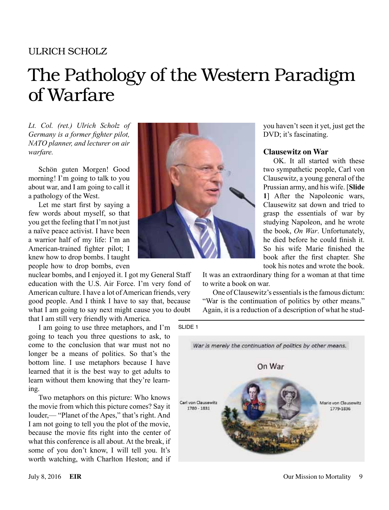## ULRICH SCHOLZ

# The Pathology of the Western Paradigm of Warfare

*Lt. Col. (ret.) Ulrich Scholz of Germany is a former fighter pilot, NATO planner, and lecturer on air warfare.*

Schön guten Morgen! Good morning! I'm going to talk to you about war, and I am going to call it a pathology of the West.

Let me start first by saying a few words about myself, so that you get the feeling that I'm not just a naïve peace activist. I have been a warrior half of my life: I'm an American-trained fighter pilot; I knew how to drop bombs. I taught people how to drop bombs, even

nuclear bombs, and I enjoyed it. I got my General Staff education with the U.S. Air Force. I'm very fond of American culture. I have a lot of American friends, very good people. And I think I have to say that, because what I am going to say next might cause you to doubt that I am still very friendly with America.

I am going to use three metaphors, and I'm going to teach you three questions to ask, to come to the conclusion that war must not no longer be a means of politics. So that's the bottom line. I use metaphors because I have learned that it is the best way to get adults to learn without them knowing that they're learning.

Two metaphors on this picture: Who knows the movie from which this picture comes? Say it louder,— "Planet of the Apes," that's right. And I am not going to tell you the plot of the movie, because the movie fits right into the center of what this conference is all about. At the break, if some of you don't know, I will tell you. It's worth watching, with Charlton Heston; and if



you haven't seen it yet, just get the DVD; it's fascinating.

## **Clausewitz on War**

OK. It all started with these two sympathetic people, Carl von Clausewitz, a young general of the Prussian army, and his wife. [**Slide 1**] After the Napoleonic wars, Clausewitz sat down and tried to grasp the essentials of war by studying Napoleon, and he wrote the book, *On War*. Unfortunately, he died before he could finish it. So his wife Marie finished the book after the first chapter. She took his notes and wrote the book.

It was an extraordinary thing for a woman at that time to write a book on war.

One of Clausewitz's essentials is the famous dictum: "War is the continuation of politics by other means." Again, it is a reduction of a description of what he stud-

SLIDE 1

War is merely the continuation of politics by other means. On War Carl von Clausewitz Marie von Clausewitz  $1780 - 1831$ 1779-1836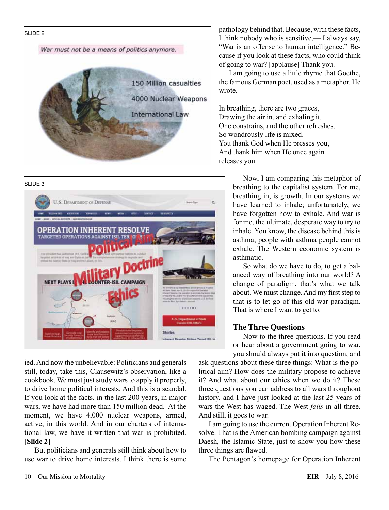SLIDE 2

War must not be a means of politics anymore.



#### SLIDE 3



ied. And now the unbelievable: Politicians and generals still, today, take this, Clausewitz's observation, like a cookbook. We must just study wars to apply it properly, to drive home political interests. And this is a scandal. If you look at the facts, in the last 200 years, in major wars, we have had more than 150 million dead. At the moment, we have 4,000 nuclear weapons, armed, active, in this world. And in our charters of international law, we have it written that war is prohibited. [**Slide 2**]

But politicians and generals still think about how to use war to drive home interests. I think there is some

pathology behind that. Because, with these facts, I think nobody who is sensitive,— I always say, "War is an offense to human intelligence." Because if you look at these facts, who could think of going to war? [applause] Thank you.

I am going to use a little rhyme that Goethe, the famous German poet, used as a metaphor. He wrote,

In breathing, there are two graces, Drawing the air in, and exhaling it. One constrains, and the other refreshes. So wondrously life is mixed. You thank God when He presses you, And thank him when He once again releases you.

> Now, I am comparing this metaphor of breathing to the capitalist system. For me, breathing in, is growth. In our systems we have learned to inhale; unfortunately, we have forgotten how to exhale. And war is for me, the ultimate, desperate way to try to inhale. You know, the disease behind this is asthma; people with asthma people cannot exhale. The Western economic system is asthmatic.

> So what do we have to do, to get a balanced way of breathing into our world? A change of paradigm, that's what we talk about. We must change. And my first step to that is to let go of this old war paradigm. That is where I want to get to.

### **The Three Questions**

Now to the three questions. If you read or hear about a government going to war, you should always put it into question, and

ask questions about these three things: What is the political aim? How does the military propose to achieve it? And what about our ethics when we do it? These three questions you can address to all wars throughout history, and I have just looked at the last 25 years of wars the West has waged. The West *fails* in all three. And still, it goes to war.

I am going to use the current Operation Inherent Resolve. That is the American bombing campaign against Daesh, the Islamic State, just to show you how these three things are flawed.

The Pentagon's homepage for Operation Inherent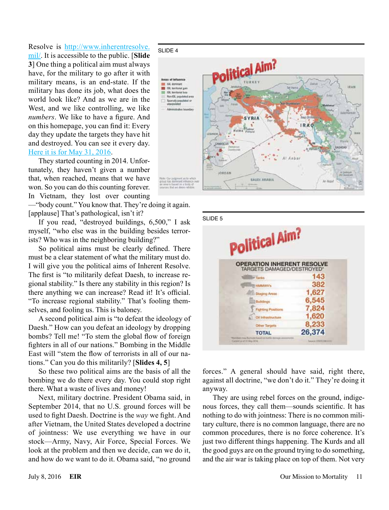Resolve is [http://www.inherentresolve.](http://www.inherentresolve.mil/) [mil/](http://www.inherentresolve.mil/). It is accessible to the public. [**Slide 3**] One thing a political aim must always have, for the military to go after it with military means, is an end-state. If the military has done its job, what does the world look like? And as we are in the West, and we like controlling, we like *numbers*. We like to have a figure. And on this homepage, you can find it: Every day they update the targets they have hit and destroyed. You can see it every day. [Here it is for May 31, 2016](http://www.inherentresolve.mil/Portals/1/Documents/Strike%20Releases/2016/05May/20160531%20Strike%20Release%20Final.pdf?ver=2016-05-31-080207-257).

They started counting in 2014. Unfortunately, they haven't given a number that, when reached, means that we have won. So you can do this counting forever. In Vietnam, they lost over counting

—"body count." You know that. They're doing it again. [applause] That's pathological, isn't it?

If you read, "destroyed buildings, 6,500," I ask myself, "who else was in the building besides terrorists? Who was in the neighboring building?"

So political aims must be clearly defined. There must be a clear statement of what the military must do. I will give you the political aims of Inherent Resolve. The first is "to militarily defeat Daesh, to increase regional stability." Is there any stability in this region? Is there anything we can increase? Read it! It's official. "To increase regional stability." That's fooling themselves, and fooling us. This is baloney.

A second political aim is "to defeat the ideology of Daesh." How can you defeat an ideology by dropping bombs? Tell me! "To stem the global flow of foreign fighters in all of our nations." Bombing in the Middle East will "stem the flow of terrorists in all of our nations." Can you do this militarily? [**Slides 4, 5**]

So these two political aims are the basis of all the bombing we do there every day. You could stop right there. What a waste of lives and money!

Next, military doctrine. President Obama said, in September 2014, that no U.S. ground forces will be used to fight Daesh. Doctrine is the *way* we fight. And after Vietnam, the United States developed a doctrine of jointness: We use everything we have in our stock—Army, Navy, Air Force, Special Forces. We look at the problem and then we decide, can we do it, and how do we want to do it. Obama said, "no ground



 $SI$  IDE 5

| Political Aim?                                                  |                    |
|-----------------------------------------------------------------|--------------------|
| <b>OPERATION INHERENT RESOLVE</b><br>TARGETS DAMAGED/DESTROYED* |                    |
| <b>Tanks</b>                                                    | 143                |
| <b>HMMWV's</b>                                                  | 382                |
| <b>Staging Areas</b>                                            | 1,627              |
| Buildings                                                       | 6,545              |
| Finfiding Po                                                    | 7,824              |
| <b>Oil Infrastructure</b>                                       | 1,620              |
| Other Targets                                                   | 8,233              |
| <b>TOTAL</b>                                                    | 26,374             |
| Carrett at of 11 May 2016                                       | Source (DWYCOW222) |

forces." A general should have said, right there, against all doctrine, "we don't do it." They're doing it anyway.

They are using rebel forces on the ground, indigenous forces, they call them—sounds scientific. It has nothing to do with jointness: There is no common military culture, there is no common language, there are no common procedures, there is no force coherence. It's just two different things happening. The Kurds and all the good guys are on the ground trying to do something, and the air war is taking place on top of them. Not very